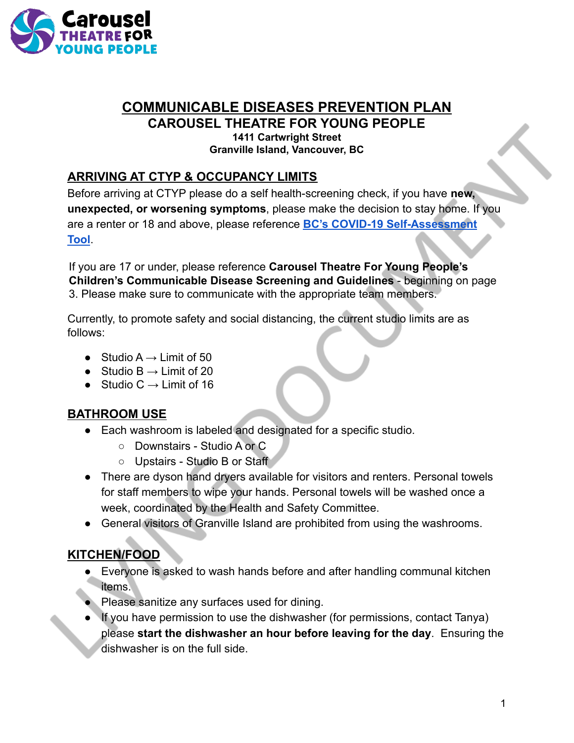

# **COMMUNICABLE DISEASES PREVENTION PLAN**

**CAROUSEL THEATRE FOR YOUNG PEOPLE**

**1411 Cartwright Street Granville Island, Vancouver, BC**

# **ARRIVING AT CTYP & OCCUPANCY LIMITS**

Before arriving at CTYP please do a self health-screening check, if you have **new, unexpected, or worsening symptoms**, please make the decision to stay home. If you are a renter or 18 and above, please reference **BC's COVID-19 Self-Assessment Tool**.

If you are 17 or under, please reference **Carousel Theatre For Young People's Children's Communicable Disease Screening and Guidelines** - beginning on page 3. Please make sure to communicate with the appropriate team members.

Currently, to promote safety and social distancing, the current studio limits are as follows:

- $\bullet$  Studio A  $\rightarrow$  Limit of 50
- $\bullet$  Studio B  $\rightarrow$  Limit of 20
- $\bullet$  Studio C  $\rightarrow$  Limit of 16

## **BATHROOM USE**

- Each washroom is labeled and designated for a specific studio.
	- Downstairs Studio A or C
	- Upstairs Studio B or Staff
- There are dyson hand dryers available for visitors and renters. Personal towels for staff members to wipe your hands. Personal towels will be washed once a week, coordinated by the Health and Safety Committee.
- General visitors of Granville Island are prohibited from using the washrooms.

# **KITCHEN/FOOD**

- Everyone is asked to wash hands before and after handling communal kitchen items.
- Please sanitize any surfaces used for dining.
- If you have permission to use the dishwasher (for permissions, contact Tanya) please **start the dishwasher an hour before leaving for the day**. Ensuring the dishwasher is on the full side.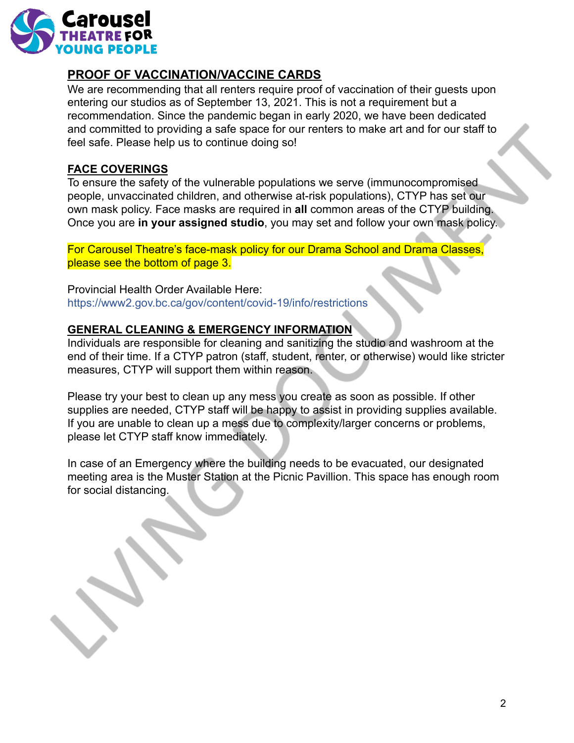

#### **PROOF OF VACCINATION/VACCINE CARDS**

We are recommending that all renters require proof of vaccination of their guests upon entering our studios as of September 13, 2021. This is not a requirement but a recommendation. Since the pandemic began in early 2020, we have been dedicated and committed to providing a safe space for our renters to make art and for our staff to feel safe. Please help us to continue doing so!

#### **FACE COVERINGS**

To ensure the safety of the vulnerable populations we serve (immunocompromised people, unvaccinated children, and otherwise at-risk populations), CTYP has set our own mask policy. Face masks are required in **all** common areas of the CTYP building. Once you are **in your assigned studio**, you may set and follow your own mask policy.

For Carousel Theatre's face-mask policy for our Drama School and Drama Classes, please see the bottom of page 3.

Provincial Health Order Available Here: https://www2.gov.bc.ca/gov/content/covid-19/info/restrictions

#### **GENERAL CLEANING & EMERGENCY INFORMATION**

Individuals are responsible for cleaning and sanitizing the studio and washroom at the end of their time. If a CTYP patron (staff, student, renter, or otherwise) would like stricter measures, CTYP will support them within reason.

Please try your best to clean up any mess you create as soon as possible. If other supplies are needed, CTYP staff will be happy to assist in providing supplies available. If you are unable to clean up a mess due to complexity/larger concerns or problems, please let CTYP staff know immediately.

In case of an Emergency where the building needs to be evacuated, our designated meeting area is the Muster Station at the Picnic Pavillion. This space has enough room for social distancing.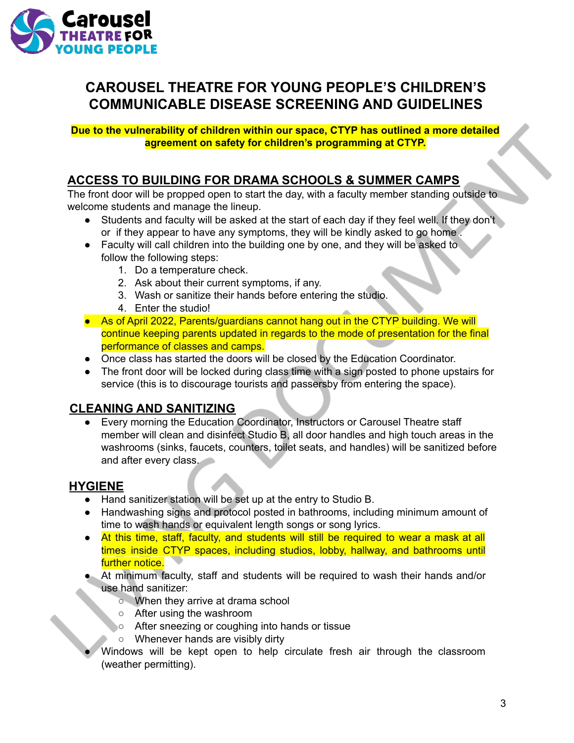

# **CAROUSEL THEATRE FOR YOUNG PEOPLE'S CHILDREN'S COMMUNICABLE DISEASE SCREENING AND GUIDELINES**

**Due to the vulnerability of children within our space, CTYP has outlined a more detailed agreement on safety for children's programming at CTYP.**

## **ACCESS TO BUILDING FOR DRAMA SCHOOLS & SUMMER CAMPS**

The front door will be propped open to start the day, with a faculty member standing outside to welcome students and manage the lineup.

- Students and faculty will be asked at the start of each day if they feel well. If they don't or if they appear to have any symptoms, they will be kindly asked to go home .
- Faculty will call children into the building one by one, and they will be asked to follow the following steps:
	- 1. Do a temperature check.
	- 2. Ask about their current symptoms, if any.
	- 3. Wash or sanitize their hands before entering the studio.
	- 4. Enter the studio!
- As of April 2022, Parents/guardians cannot hang out in the CTYP building. We will continue keeping parents updated in regards to the mode of presentation for the final performance of classes and camps.
- Once class has started the doors will be closed by the Education Coordinator.
- The front door will be locked during class time with a sign posted to phone upstairs for service (this is to discourage tourists and passersby from entering the space).

#### **CLEANING AND SANITIZING**

Every morning the Education Coordinator, Instructors or Carousel Theatre staff member will clean and disinfect Studio B, all door handles and high touch areas in the washrooms (sinks, faucets, counters, toilet seats, and handles) will be sanitized before and after every class.

## **HYGIENE**

- Hand sanitizer station will be set up at the entry to Studio B.
- Handwashing signs and protocol posted in bathrooms, including minimum amount of time to wash hands or equivalent length songs or song lyrics.
- At this time, staff, faculty, and students will still be required to wear a mask at all times inside CTYP spaces, including studios, lobby, hallway, and bathrooms until further notice.
- At minimum faculty, staff and students will be required to wash their hands and/or use hand sanitizer:
	- When they arrive at drama school
	- After using the washroom
	- After sneezing or coughing into hands or tissue
	- Whenever hands are visibly dirty
- Windows will be kept open to help circulate fresh air through the classroom (weather permitting).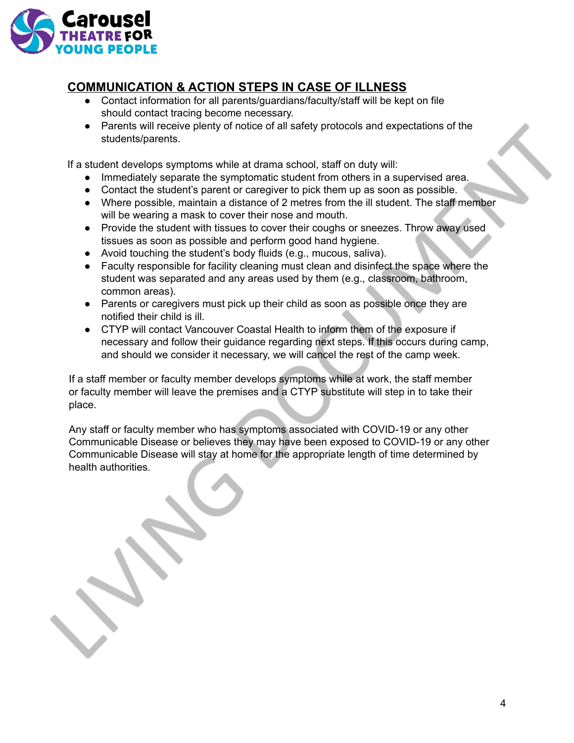

# **COMMUNICATION & ACTION STEPS IN CASE OF ILLNESS**

- Contact information for all parents/guardians/faculty/staff will be kept on file should contact tracing become necessary.
- Parents will receive plenty of notice of all safety protocols and expectations of the students/parents.

If a student develops symptoms while at drama school, staff on duty will:

- Immediately separate the symptomatic student from others in a supervised area.
- Contact the student's parent or caregiver to pick them up as soon as possible.
- Where possible, maintain a distance of 2 metres from the ill student. The staff member will be wearing a mask to cover their nose and mouth.
- Provide the student with tissues to cover their coughs or sneezes. Throw away used tissues as soon as possible and perform good hand hygiene.
- Avoid touching the student's body fluids (e.g., mucous, saliva).
- Faculty responsible for facility cleaning must clean and disinfect the space where the student was separated and any areas used by them (e.g., classroom, bathroom, common areas).
- Parents or caregivers must pick up their child as soon as possible once they are notified their child is ill.
- CTYP will contact Vancouver Coastal Health to inform them of the exposure if necessary and follow their guidance regarding next steps. If this occurs during camp, and should we consider it necessary, we will cancel the rest of the camp week.

If a staff member or faculty member develops symptoms while at work, the staff member or faculty member will leave the premises and a CTYP substitute will step in to take their place.

Any staff or faculty member who has symptoms associated with COVID-19 or any other Communicable Disease or believes they may have been exposed to COVID-19 or any other Communicable Disease will stay at home for the appropriate length of time determined by health authorities.